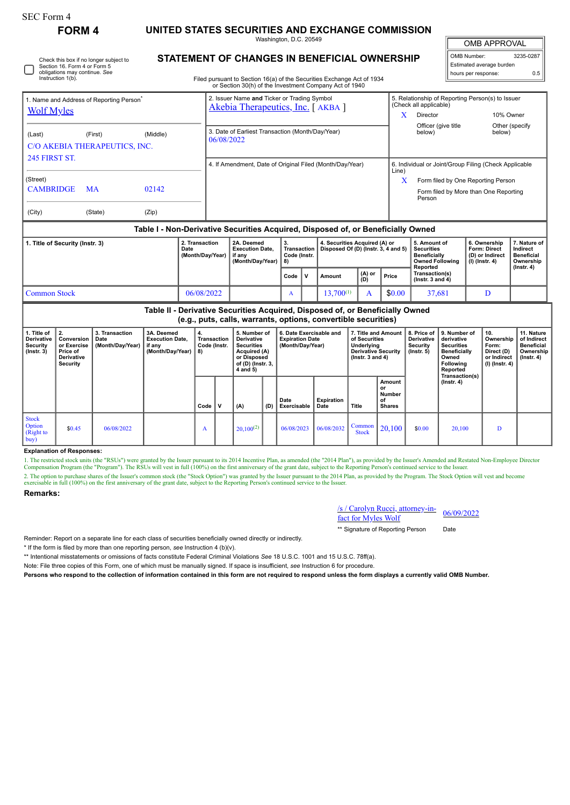∩

# **FORM 4 UNITED STATES SECURITIES AND EXCHANGE COMMISSION**

Washington, D.C. 20549

OMB APPROVAL

| OMB Number:              | 3235-0287 |  |  |  |  |  |  |  |  |
|--------------------------|-----------|--|--|--|--|--|--|--|--|
| Estimated average burden |           |  |  |  |  |  |  |  |  |
| hours per response:      | 0.5       |  |  |  |  |  |  |  |  |

Filed pursuant to Section 16(a) of the Securities Exchange Act of 1934

|                                                                                  |           |                                            |                                                                    | or Section 30(h) of the Investment Company Act of 1940                          |      |                                                                      |        |               |                                                                                                     |                                                                                       |                                                            |                  |  |
|----------------------------------------------------------------------------------|-----------|--------------------------------------------|--------------------------------------------------------------------|---------------------------------------------------------------------------------|------|----------------------------------------------------------------------|--------|---------------|-----------------------------------------------------------------------------------------------------|---------------------------------------------------------------------------------------|------------------------------------------------------------|------------------|--|
| 1. Name and Address of Reporting Person <sup>®</sup><br><b>Wolf Myles</b>        |           |                                            |                                                                    | 2. Issuer Name and Ticker or Trading Symbol<br>Akebia Therapeutics, Inc. [AKBA] |      |                                                                      |        | X             | 5. Relationship of Reporting Person(s) to Issuer<br>(Check all applicable)<br>10% Owner<br>Director |                                                                                       |                                                            |                  |  |
| (Last)<br>C/O AKEBIA THERAPEUTICS, INC.<br><b>245 FIRST ST.</b>                  | (First)   | (Middle)                                   | 06/08/2022                                                         | 3. Date of Earliest Transaction (Month/Day/Year)                                |      |                                                                      |        |               | Officer (give title<br>below)                                                                       | below)                                                                                | Other (specify                                             |                  |  |
|                                                                                  |           |                                            |                                                                    | 4. If Amendment, Date of Original Filed (Month/Day/Year)                        |      |                                                                      |        |               | 6. Individual or Joint/Group Filing (Check Applicable<br>Line)                                      |                                                                                       |                                                            |                  |  |
| (Street)<br><b>CAMBRIDGE</b>                                                     | <b>MA</b> | 02142                                      |                                                                    |                                                                                 |      |                                                                      |        |               |                                                                                                     | Form filed by One Reporting Person<br>Form filed by More than One Reporting<br>Person |                                                            |                  |  |
| (City)                                                                           | (State)   | (Zip)                                      |                                                                    |                                                                                 |      |                                                                      |        |               |                                                                                                     |                                                                                       |                                                            |                  |  |
| Table I - Non-Derivative Securities Acquired, Disposed of, or Beneficially Owned |           |                                            |                                                                    |                                                                                 |      |                                                                      |        |               |                                                                                                     |                                                                                       |                                                            |                  |  |
| 1. Title of Security (Instr. 3)                                                  |           | 2. Transaction<br>Date<br>(Month/Day/Year) | 2A. Deemed<br><b>Execution Date,</b><br>if any<br>(Month/Day/Year) | 3.<br>Transaction<br>Code (Instr.<br>  8)                                       |      | 4. Securities Acquired (A) or<br>Disposed Of (D) (Instr. 3, 4 and 5) |        |               | 5. Amount of<br><b>Securities</b><br><b>Beneficially</b><br><b>Owned Following</b>                  | 6. Ownership<br>Form: Direct<br>(D) or Indirect<br>$(I)$ (Instr. 4)                   | 7. Nature of<br>Indirect<br><b>Beneficial</b><br>Ownership |                  |  |
|                                                                                  |           |                                            |                                                                    |                                                                                 | Code | $\mathsf{v}$                                                         | Amount | (A) or<br>(D) | Price                                                                                               | Reported<br>Transaction(s)<br>$($ Instr. $3$ and $4)$                                 |                                                            | $($ lnstr. 4 $)$ |  |
| <b>Common Stock</b>                                                              |           | 06/08/2022                                 |                                                                    | A                                                                               |      | $13,700^{(1)}$                                                       | A      | \$0.00        | 37,681                                                                                              | D                                                                                     |                                                            |                  |  |

**Table II - Derivative Securities Acquired, Disposed of, or Beneficially Owned (e.g., puts, calls, warrants, options, convertible securities)**

| 1. Title of<br><b>Derivative</b><br>Security<br>$($ Instr. 3 $)$ | Conversion<br>or Exercise<br>Price of<br><b>Derivative</b><br>Security | 3. Transaction<br>Date<br>(Month/Day/Year) | 3A. Deemed<br><b>Execution Date,</b><br>if any<br>(Month/Day/Year) | Transaction<br>Code (Instr.<br>8) | 5. Number of<br>Derivative<br><b>Securities</b><br>Acquired (A)<br>or Disposed<br>of (D) (Instr. 3,<br>4 and 5) |     | 6. Date Exercisable and<br><b>Expiration Date</b><br>(Month/Day/Year) |                    | 7. Title and Amount  <br>of Securities<br>Underlying<br><b>Derivative Security</b><br>$($ lnstr. 3 and 4 $)$ |                                               | 8. Price of<br><b>Derivative</b><br>Security<br>$($ Instr. 5 $)$ | 9. Number of<br>derivative<br><b>Securities</b><br><b>Beneficially</b><br>Owned<br>Following<br>Reported | 10.<br>Ownership<br>Form:<br>Direct (D)<br>or Indirect<br>$(I)$ (Instr. 4) | 11. Nature<br>of Indirect<br><b>Beneficial</b><br>Ownership<br>$($ lnstr. 4 $)$ |
|------------------------------------------------------------------|------------------------------------------------------------------------|--------------------------------------------|--------------------------------------------------------------------|-----------------------------------|-----------------------------------------------------------------------------------------------------------------|-----|-----------------------------------------------------------------------|--------------------|--------------------------------------------------------------------------------------------------------------|-----------------------------------------------|------------------------------------------------------------------|----------------------------------------------------------------------------------------------------------|----------------------------------------------------------------------------|---------------------------------------------------------------------------------|
|                                                                  |                                                                        |                                            |                                                                    | Code                              | (A)                                                                                                             | (D) | Date<br>Exercisable                                                   | Expiration<br>Date | Title                                                                                                        | Amount<br>or<br>Number<br>of<br><b>Shares</b> |                                                                  | Transaction(s)<br>(Instr. 4)                                                                             |                                                                            |                                                                                 |
| <b>Stock</b><br><b>Option</b><br>(Right to<br> buy)              | \$0.45                                                                 | 06/08/2022                                 |                                                                    | A                                 | $20.100^{(2)}$                                                                                                  |     | 06/08/2023                                                            | 06/08/2032         | Common<br><b>Stock</b>                                                                                       | 20,100                                        | \$0.00                                                           | 20.100                                                                                                   | D                                                                          |                                                                                 |

#### **Explanation of Responses:**

1. The restricted stock units (the "RSUs") were granted by the Issuer pursuant to its 2014 Incentive Plan, as amended (the "2014 Plan"), as provided by the Issuer's Amended and Restated Non-Employee Director Compensation P 2. The option to purchase shares of the Issuer's common stock (the "Stock Option") was granted by the Issuer pursuant to the 2014 Plan, as provided by the Program. The Stock Option will vest and become exercisable in full (100%) on the first anniversary of the grant date, subject to the Reporting Person's continued service to the Issuer.

#### **Remarks:**

### /s / Carolyn Rucci, attorney-in- $\frac{\text{fs}}{\text{fact}}$  Carolyn Rucci, attorney-in-<br>fact for Myles Wolf

\*\* Signature of Reporting Person Date

Reminder: Report on a separate line for each class of securities beneficially owned directly or indirectly.

\* If the form is filed by more than one reporting person, *see* Instruction 4 (b)(v).

\*\* Intentional misstatements or omissions of facts constitute Federal Criminal Violations *See* 18 U.S.C. 1001 and 15 U.S.C. 78ff(a).

Note: File three copies of this Form, one of which must be manually signed. If space is insufficient, *see* Instruction 6 for procedure.

**Persons who respond to the collection of information contained in this form are not required to respond unless the form displays a currently valid OMB Number.**

Check this box if no longer subject to Section 16. Form 4 or Form 5 obligations may continue. *See* Instruction 1(b).

## **STATEMENT OF CHANGES IN BENEFICIAL OWNERSHIP**